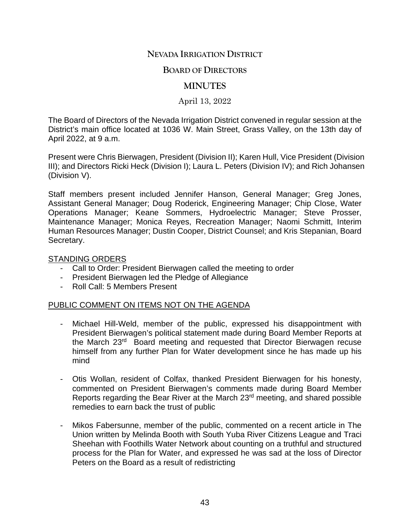# **NEVADA IRRIGATION DISTRICT**

#### **BOARD OF DIRECTORS**

### **MINUTES**

April 13, 2022

The Board of Directors of the Nevada Irrigation District convened in regular session at the District's main office located at 1036 W. Main Street, Grass Valley, on the 13th day of April 2022, at 9 a.m.

Present were Chris Bierwagen, President (Division II); Karen Hull, Vice President (Division III); and Directors Ricki Heck (Division I); Laura L. Peters (Division IV); and Rich Johansen (Division V).

Staff members present included Jennifer Hanson, General Manager; Greg Jones, Assistant General Manager; Doug Roderick, Engineering Manager; Chip Close, Water Operations Manager; Keane Sommers, Hydroelectric Manager; Steve Prosser, Maintenance Manager; Monica Reyes, Recreation Manager; Naomi Schmitt, Interim Human Resources Manager; Dustin Cooper, District Counsel; and Kris Stepanian, Board Secretary.

#### STANDING ORDERS

- Call to Order: President Bierwagen called the meeting to order
- President Bierwagen led the Pledge of Allegiance
- Roll Call: 5 Members Present

### PUBLIC COMMENT ON ITEMS NOT ON THE AGENDA

- Michael Hill-Weld, member of the public, expressed his disappointment with President Bierwagen's political statement made during Board Member Reports at the March 23rd Board meeting and requested that Director Bierwagen recuse himself from any further Plan for Water development since he has made up his mind
- Otis Wollan, resident of Colfax, thanked President Bierwagen for his honesty, commented on President Bierwagen's comments made during Board Member Reports regarding the Bear River at the March 23rd meeting, and shared possible remedies to earn back the trust of public
- Mikos Fabersunne, member of the public, commented on a recent article in The Union written by Melinda Booth with South Yuba River Citizens League and Traci Sheehan with Foothills Water Network about counting on a truthful and structured process for the Plan for Water, and expressed he was sad at the loss of Director Peters on the Board as a result of redistricting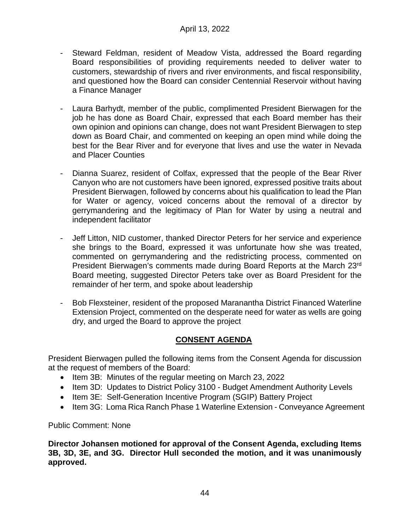- Steward Feldman, resident of Meadow Vista, addressed the Board regarding Board responsibilities of providing requirements needed to deliver water to customers, stewardship of rivers and river environments, and fiscal responsibility, and questioned how the Board can consider Centennial Reservoir without having a Finance Manager
- Laura Barhydt, member of the public, complimented President Bierwagen for the job he has done as Board Chair, expressed that each Board member has their own opinion and opinions can change, does not want President Bierwagen to step down as Board Chair, and commented on keeping an open mind while doing the best for the Bear River and for everyone that lives and use the water in Nevada and Placer Counties
- Dianna Suarez, resident of Colfax, expressed that the people of the Bear River Canyon who are not customers have been ignored, expressed positive traits about President Bierwagen, followed by concerns about his qualification to lead the Plan for Water or agency, voiced concerns about the removal of a director by gerrymandering and the legitimacy of Plan for Water by using a neutral and independent facilitator
- Jeff Litton, NID customer, thanked Director Peters for her service and experience she brings to the Board, expressed it was unfortunate how she was treated, commented on gerrymandering and the redistricting process, commented on President Bierwagen's comments made during Board Reports at the March 23rd Board meeting, suggested Director Peters take over as Board President for the remainder of her term, and spoke about leadership
- Bob Flexsteiner, resident of the proposed Maranantha District Financed Waterline Extension Project, commented on the desperate need for water as wells are going dry, and urged the Board to approve the project

# **CONSENT AGENDA**

President Bierwagen pulled the following items from the Consent Agenda for discussion at the request of members of the Board:

- Item 3B: Minutes of the regular meeting on March 23, 2022
- Item 3D: Updates to District Policy 3100 Budget Amendment Authority Levels
- Item 3E: Self-Generation Incentive Program (SGIP) Battery Project
- Item 3G: Loma Rica Ranch Phase 1 Waterline Extension Conveyance Agreement

Public Comment: None

**Director Johansen motioned for approval of the Consent Agenda, excluding Items 3B, 3D, 3E, and 3G. Director Hull seconded the motion, and it was unanimously approved.**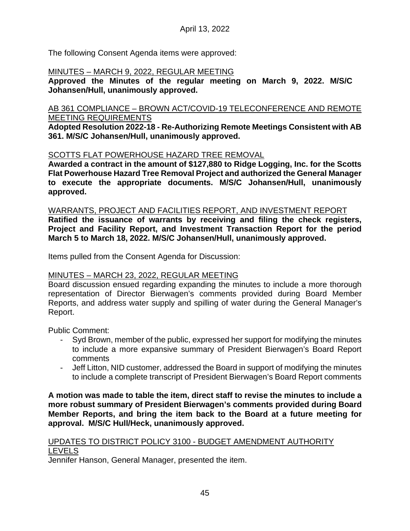The following Consent Agenda items were approved:

# MINUTES – MARCH 9, 2022, REGULAR MEETING

**Approved the Minutes of the regular meeting on March 9, 2022. M/S/C Johansen/Hull, unanimously approved.**

### AB 361 COMPLIANCE – BROWN ACT/COVID-19 TELECONFERENCE AND REMOTE MEETING REQUIREMENTS

**Adopted Resolution 2022-18 - Re-Authorizing Remote Meetings Consistent with AB 361. M/S/C Johansen/Hull, unanimously approved.**

# SCOTTS FLAT POWERHOUSE HAZARD TREE REMOVAL

**Awarded a contract in the amount of \$127,880 to Ridge Logging, Inc. for the Scotts Flat Powerhouse Hazard Tree Removal Project and authorized the General Manager to execute the appropriate documents. M/S/C Johansen/Hull, unanimously approved.**

#### WARRANTS, PROJECT AND FACILITIES REPORT, AND INVESTMENT REPORT

**Ratified the issuance of warrants by receiving and filing the check registers, Project and Facility Report, and Investment Transaction Report for the period March 5 to March 18, 2022. M/S/C Johansen/Hull, unanimously approved.**

Items pulled from the Consent Agenda for Discussion:

### MINUTES – MARCH 23, 2022, REGULAR MEETING

Board discussion ensued regarding expanding the minutes to include a more thorough representation of Director Bierwagen's comments provided during Board Member Reports, and address water supply and spilling of water during the General Manager's Report.

Public Comment:

- Syd Brown, member of the public, expressed her support for modifying the minutes to include a more expansive summary of President Bierwagen's Board Report comments
- Jeff Litton, NID customer, addressed the Board in support of modifying the minutes to include a complete transcript of President Bierwagen's Board Report comments

**A motion was made to table the item, direct staff to revise the minutes to include a more robust summary of President Bierwagen's comments provided during Board Member Reports, and bring the item back to the Board at a future meeting for approval. M/S/C Hull/Heck, unanimously approved.**

### UPDATES TO DISTRICT POLICY 3100 - BUDGET AMENDMENT AUTHORITY LEVELS

Jennifer Hanson, General Manager, presented the item.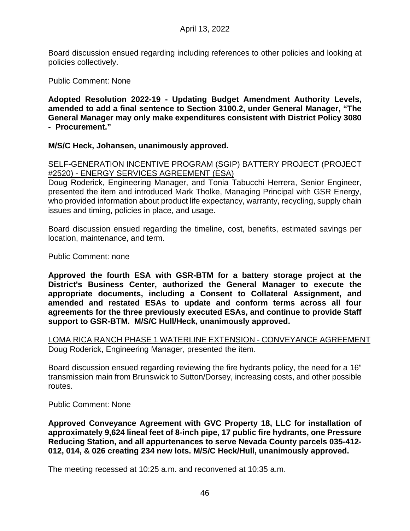Board discussion ensued regarding including references to other policies and looking at policies collectively.

Public Comment: None

**Adopted Resolution 2022-19 - Updating Budget Amendment Authority Levels, amended to add a final sentence to Section 3100.2, under General Manager, "The General Manager may only make expenditures consistent with District Policy 3080 - Procurement."**

**M/S/C Heck, Johansen, unanimously approved.**

SELF-GENERATION INCENTIVE PROGRAM (SGIP) BATTERY PROJECT (PROJECT #2520) - ENERGY SERVICES AGREEMENT (ESA)

Doug Roderick, Engineering Manager, and Tonia Tabucchi Herrera, Senior Engineer, presented the item and introduced Mark Tholke, Managing Principal with GSR Energy, who provided information about product life expectancy, warranty, recycling, supply chain issues and timing, policies in place, and usage.

Board discussion ensued regarding the timeline, cost, benefits, estimated savings per location, maintenance, and term.

Public Comment: none

**Approved the fourth ESA with GSR-BTM for a battery storage project at the District's Business Center, authorized the General Manager to execute the appropriate documents, including a Consent to Collateral Assignment, and amended and restated ESAs to update and conform terms across all four agreements for the three previously executed ESAs, and continue to provide Staff support to GSR-BTM. M/S/C Hull/Heck, unanimously approved.**

LOMA RICA RANCH PHASE 1 WATERLINE EXTENSION - CONVEYANCE AGREEMENT Doug Roderick, Engineering Manager, presented the item.

Board discussion ensued regarding reviewing the fire hydrants policy, the need for a 16" transmission main from Brunswick to Sutton/Dorsey, increasing costs, and other possible routes.

Public Comment: None

**Approved Conveyance Agreement with GVC Property 18, LLC for installation of approximately 9,624 lineal feet of 8-inch pipe, 17 public fire hydrants, one Pressure Reducing Station, and all appurtenances to serve Nevada County parcels 035-412- 012, 014, & 026 creating 234 new lots. M/S/C Heck/Hull, unanimously approved.**

The meeting recessed at 10:25 a.m. and reconvened at 10:35 a.m.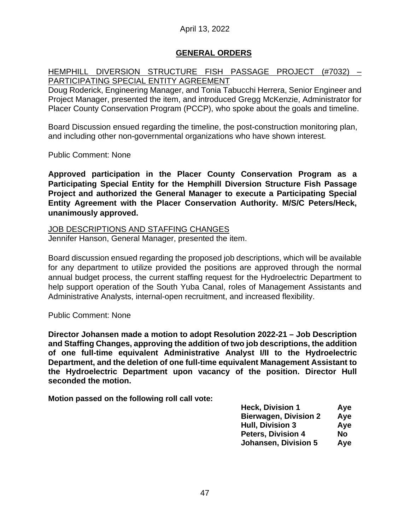# April 13, 2022

### **GENERAL ORDERS**

### HEMPHILL DIVERSION STRUCTURE FISH PASSAGE PROJECT (#7032) – PARTICIPATING SPECIAL ENTITY AGREEMENT

Doug Roderick, Engineering Manager, and Tonia Tabucchi Herrera, Senior Engineer and Project Manager, presented the item, and introduced Gregg McKenzie, Administrator for Placer County Conservation Program (PCCP), who spoke about the goals and timeline.

Board Discussion ensued regarding the timeline, the post-construction monitoring plan, and including other non-governmental organizations who have shown interest.

Public Comment: None

**Approved participation in the Placer County Conservation Program as a Participating Special Entity for the Hemphill Diversion Structure Fish Passage Project and authorized the General Manager to execute a Participating Special Entity Agreement with the Placer Conservation Authority. M/S/C Peters/Heck, unanimously approved.**

JOB DESCRIPTIONS AND STAFFING CHANGES

Jennifer Hanson, General Manager, presented the item.

Board discussion ensued regarding the proposed job descriptions, which will be available for any department to utilize provided the positions are approved through the normal annual budget process, the current staffing request for the Hydroelectric Department to help support operation of the South Yuba Canal, roles of Management Assistants and Administrative Analysts, internal-open recruitment, and increased flexibility.

Public Comment: None

**Director Johansen made a motion to adopt Resolution 2022-21 – Job Description and Staffing Changes, approving the addition of two job descriptions, the addition of one full-time equivalent Administrative Analyst I/II to the Hydroelectric Department, and the deletion of one full-time equivalent Management Assistant to the Hydroelectric Department upon vacancy of the position. Director Hull seconded the motion.**

**Motion passed on the following roll call vote:**

| <b>Heck, Division 1</b>      | Aye |
|------------------------------|-----|
| <b>Bierwagen, Division 2</b> | Aye |
| <b>Hull, Division 3</b>      | Aye |
| <b>Peters, Division 4</b>    | No  |
| <b>Johansen, Division 5</b>  | Aye |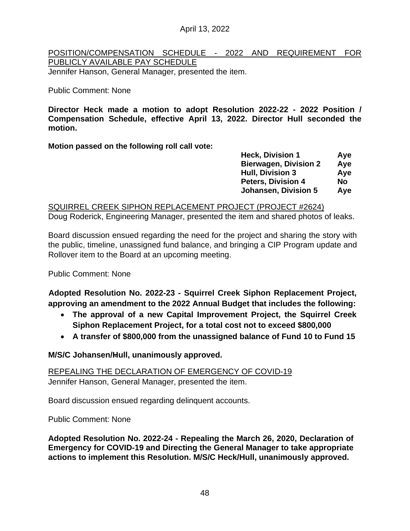April 13, 2022

# POSITION/COMPENSATION SCHEDULE - 2022 AND REQUIREMENT FOR PUBLICLY AVAILABLE PAY SCHEDULE

Jennifer Hanson, General Manager, presented the item.

# Public Comment: None

**Director Heck made a motion to adopt Resolution 2022-22 - 2022 Position / Compensation Schedule, effective April 13, 2022. Director Hull seconded the motion.**

**Motion passed on the following roll call vote:**

| <b>Heck, Division 1</b>      | Aye       |
|------------------------------|-----------|
| <b>Bierwagen, Division 2</b> | Aye       |
| <b>Hull, Division 3</b>      | Aye       |
| <b>Peters, Division 4</b>    | <b>No</b> |
| <b>Johansen, Division 5</b>  | Aye       |

SQUIRREL CREEK SIPHON REPLACEMENT PROJECT (PROJECT #2624) Doug Roderick, Engineering Manager, presented the item and shared photos of leaks.

Board discussion ensued regarding the need for the project and sharing the story with the public, timeline, unassigned fund balance, and bringing a CIP Program update and Rollover item to the Board at an upcoming meeting.

Public Comment: None

**Adopted Resolution No. 2022-23 - Squirrel Creek Siphon Replacement Project, approving an amendment to the 2022 Annual Budget that includes the following:**

- **The approval of a new Capital Improvement Project, the Squirrel Creek Siphon Replacement Project, for a total cost not to exceed \$800,000**
- **A transfer of \$800,000 from the unassigned balance of Fund 10 to Fund 15**

**M/S/C Johansen/Hull, unanimously approved.**

REPEALING THE DECLARATION OF EMERGENCY OF COVID-19 Jennifer Hanson, General Manager, presented the item.

Board discussion ensued regarding delinquent accounts.

Public Comment: None

**Adopted Resolution No. 2022-24 - Repealing the March 26, 2020, Declaration of Emergency for COVID-19 and Directing the General Manager to take appropriate actions to implement this Resolution. M/S/C Heck/Hull, unanimously approved.**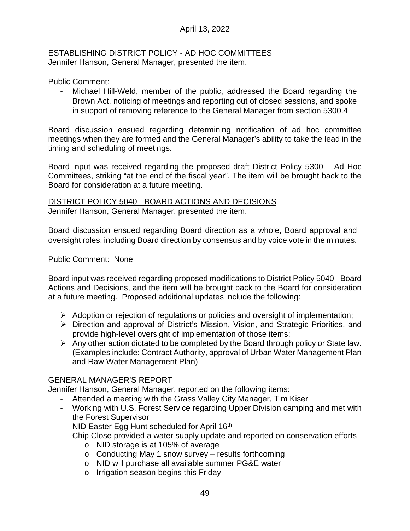# April 13, 2022

#### ESTABLISHING DISTRICT POLICY - AD HOC COMMITTEES Jennifer Hanson, General Manager, presented the item.

Public Comment:

Michael Hill-Weld, member of the public, addressed the Board regarding the Brown Act, noticing of meetings and reporting out of closed sessions, and spoke in support of removing reference to the General Manager from section 5300.4

Board discussion ensued regarding determining notification of ad hoc committee meetings when they are formed and the General Manager's ability to take the lead in the timing and scheduling of meetings.

Board input was received regarding the proposed draft District Policy 5300 – Ad Hoc Committees, striking "at the end of the fiscal year". The item will be brought back to the Board for consideration at a future meeting.

#### DISTRICT POLICY 5040 - BOARD ACTIONS AND DECISIONS Jennifer Hanson, General Manager, presented the item.

Board discussion ensued regarding Board direction as a whole, Board approval and oversight roles, including Board direction by consensus and by voice vote in the minutes.

# Public Comment: None

Board input was received regarding proposed modifications to District Policy 5040 - Board Actions and Decisions, and the item will be brought back to the Board for consideration at a future meeting. Proposed additional updates include the following:

- $\triangleright$  Adoption or rejection of regulations or policies and oversight of implementation;
- Direction and approval of District's Mission, Vision, and Strategic Priorities, and provide high-level oversight of implementation of those items;
- $\triangleright$  Any other action dictated to be completed by the Board through policy or State law. (Examples include: Contract Authority, approval of Urban Water Management Plan and Raw Water Management Plan)

### GENERAL MANAGER'S REPORT

Jennifer Hanson, General Manager, reported on the following items:

- Attended a meeting with the Grass Valley City Manager, Tim Kiser
- Working with U.S. Forest Service regarding Upper Division camping and met with the Forest Supervisor
- NID Easter Egg Hunt scheduled for April 16<sup>th</sup>
- Chip Close provided a water supply update and reported on conservation efforts
	- o NID storage is at 105% of average
	- o Conducting May 1 snow survey results forthcoming
	- o NID will purchase all available summer PG&E water
	- o Irrigation season begins this Friday